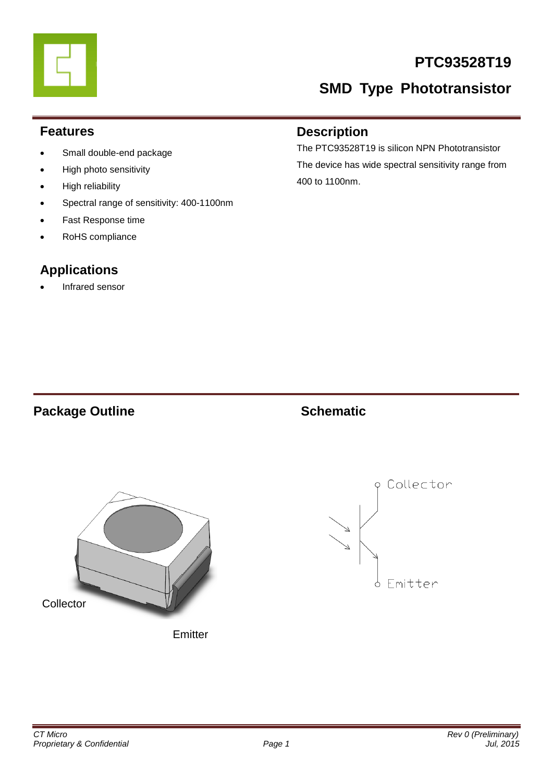## **PTC93528T19**

# **SMD Type Phototransistor**

#### **Features**

- Small double-end package
- High photo sensitivity
- High reliability
- Spectral range of sensitivity: 400-1100nm
- Fast Response time
- RoHS compliance

## **Applications**

Infrared sensor

### **Description**

The PTC93528T19 is silicon NPN Phototransistor The device has wide spectral sensitivity range from 400 to 1100nm.

### **Package Outline Schematic**





**Emitter** 

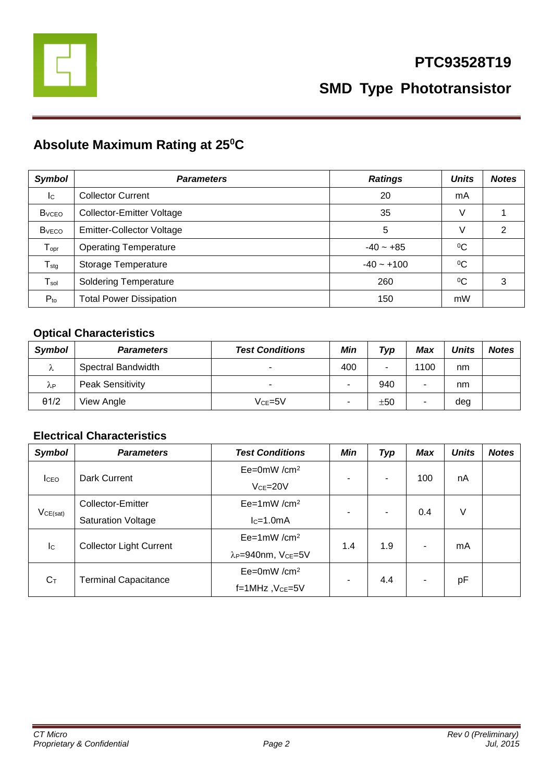

## **Absolute Maximum Rating at 25<sup>0</sup>C**

| <b>Symbol</b>                | <b>Parameters</b>                | <b>Ratings</b> | <b>Units</b> | <b>Notes</b> |
|------------------------------|----------------------------------|----------------|--------------|--------------|
| $\mathsf{I}^{\mathsf{C}}$    | <b>Collector Current</b>         | 20             | mA           |              |
| <b>B</b> <sub>vceo</sub>     | Collector-Emitter Voltage        | 35             | V            |              |
| <b>B</b> <sub>vECO</sub>     | <b>Emitter-Collector Voltage</b> | 5              | V            | 2            |
| ${\mathsf T}_{\mathsf{opr}}$ | <b>Operating Temperature</b>     | $-40 - +85$    | $\rm ^{0}C$  |              |
| ${\mathsf T}_{\text{stg}}$   | Storage Temperature              | $-40 - +100$   | $\rm ^{0}C$  |              |
| $T_{sol}$                    | <b>Soldering Temperature</b>     | 260            | $\rm ^{0}C$  | 3            |
| $P_{to}$                     | <b>Total Power Dissipation</b>   | 150            | mW           |              |

#### **Optical Characteristics**

| Symbol       | <b>Parameters</b>       | <b>Test Conditions</b>   | Min | Typ | Max  | <b>Units</b> | <b>Notes</b> |
|--------------|-------------------------|--------------------------|-----|-----|------|--------------|--------------|
| Λ            | Spectral Bandwidth      | $\overline{\phantom{0}}$ | 400 | -   | 1100 | nm           |              |
| λP           | <b>Peak Sensitivity</b> | $\overline{\phantom{0}}$ | -   | 940 |      | nm           |              |
| $\theta$ 1/2 | View Angle              | $Vce=5V$                 | ۰   | ±50 | ۰    | deg          |              |

#### **Electrical Characteristics**

| <b>Symbol</b>             | <b>Parameters</b>              | <b>Test Conditions</b>                     | <b>Min</b> | <b>Typ</b> | <b>Max</b> | <b>Units</b> | <b>Notes</b> |
|---------------------------|--------------------------------|--------------------------------------------|------------|------------|------------|--------------|--------------|
| <b>I</b> CEO              | Dark Current                   | $Ee=0mW/cm^2$                              |            | ۰          | 100        | nA           |              |
|                           |                                | $VCE=20V$                                  | ۰          |            |            |              |              |
| VCE(sat)                  | Collector-Emitter              | $Ee=1mW/cm^2$                              | ٠          | -          | 0.4        | V            |              |
|                           | <b>Saturation Voltage</b>      | $lc=1.0mA$                                 |            |            |            |              |              |
| $\mathsf{I}^{\mathsf{C}}$ | <b>Collector Light Current</b> | $Ee=1mW/cm^2$                              | 1.4        | 1.9        |            | mA           |              |
|                           |                                | λ <sub>P</sub> =940nm, V <sub>CE</sub> =5V |            |            |            |              |              |
| $C_T$                     | <b>Terminal Capacitance</b>    | $Ee=0mW/cm^2$                              | ۰          | 4.4        |            |              |              |
|                           |                                | f=1MHz, VcE=5V                             |            |            |            | pF           |              |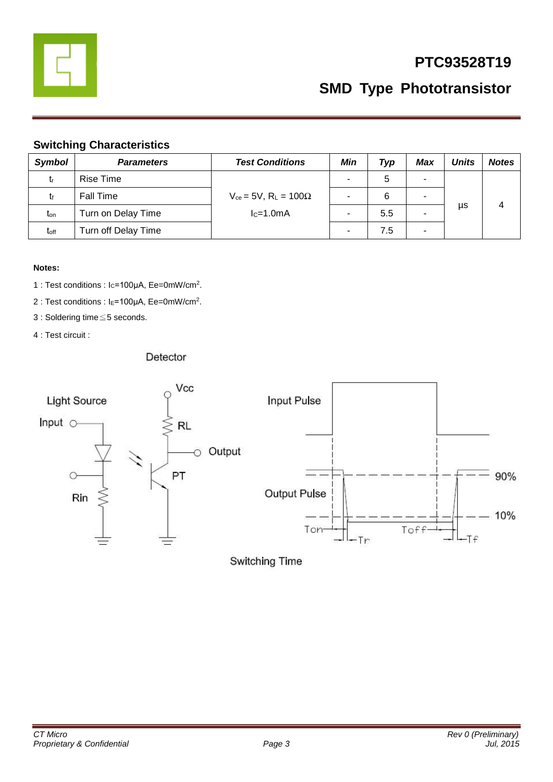

## **PTC93528T19**

**SMD Type Phototransistor**

#### **Switching Characteristics**

| <b>Symbol</b> | <b>Parameters</b>   | <b>Test Conditions</b>                                     | Min                      | Typ | Max                      | Units | <b>Notes</b> |
|---------------|---------------------|------------------------------------------------------------|--------------------------|-----|--------------------------|-------|--------------|
| tr            | Rise Time           |                                                            | ۰                        | 5   | ۰                        |       |              |
| t۴            | <b>Fall Time</b>    | $V_{ce}$ = 5V, R <sub>L</sub> = 100 $\Omega$<br>$lc=1.0mA$ | $\overline{\phantom{a}}$ | 6   | ۰                        |       |              |
| $t_{on}$      | Turn on Delay Time  |                                                            |                          | 5.5 |                          | μs    | 4            |
| toff          | Turn off Delay Time |                                                            | -                        | 7.5 | $\overline{\phantom{a}}$ |       |              |

#### **Notes:**

- 1 : Test conditions : Ic=100μA, Ee=0mW/cm<sup>2</sup>.
- 2 : Test conditions : I<sub>E</sub>=100μA, Ee=0mW/cm<sup>2</sup>.
- 3 : Soldering time≦5 seconds.
- 4 : Test circuit :

#### Detector



Switching Time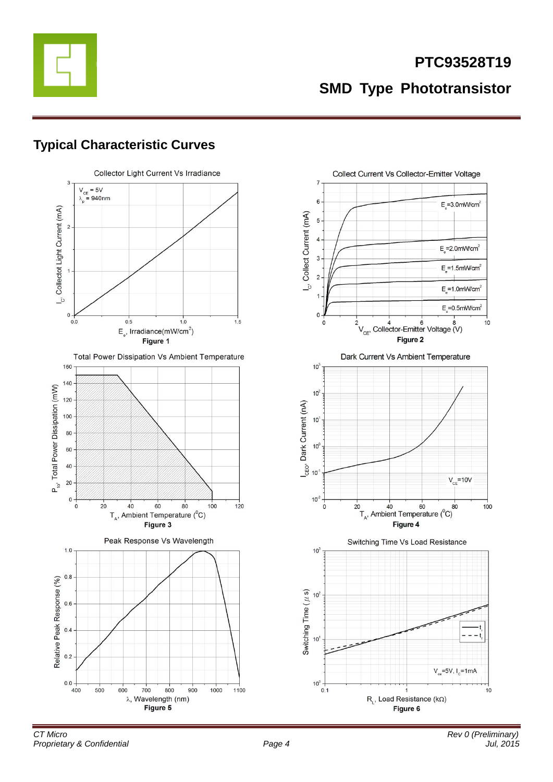

## **Typical Characteristic Curves**





 $10$ 

 $V_{ce} = 5V, I_{c} = 1mA$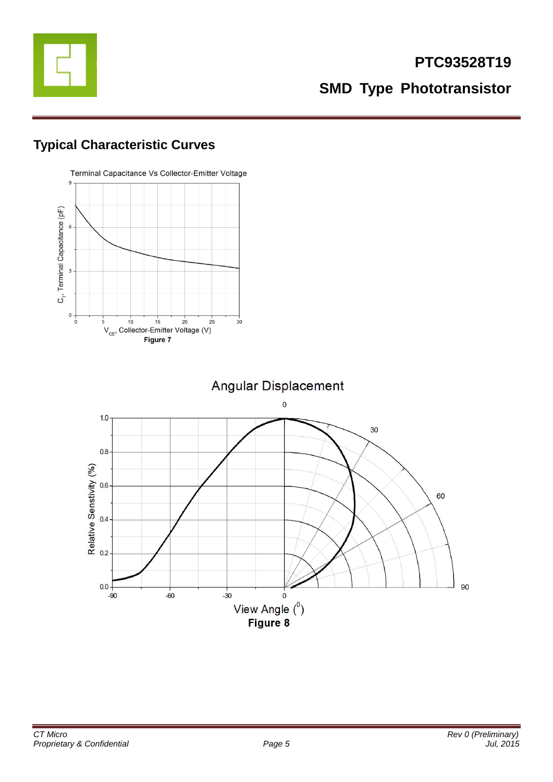

## **Typical Characteristic Curves**

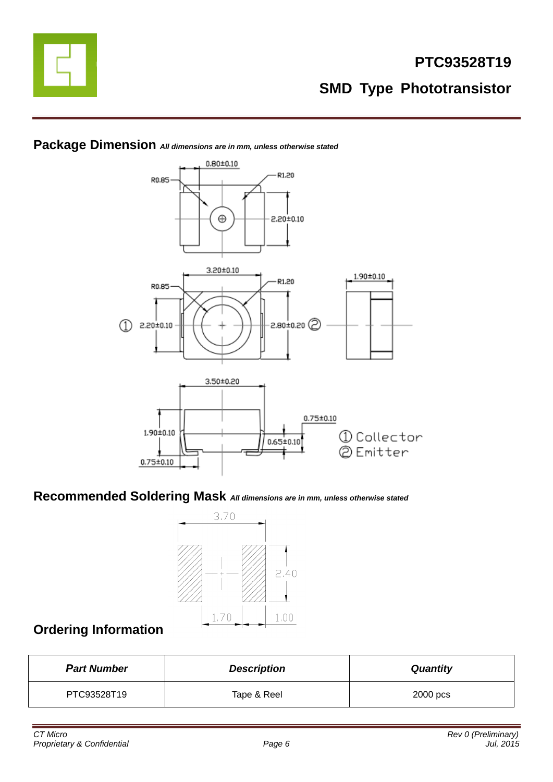



#### **Package Dimension** *All dimensions are in mm, unless otherwise stated*

**Recommended Soldering Mask** *All dimensions are in mm, unless otherwise stated*



## **Ordering Information**

| <b>Part Number</b> | <b>Quantity</b> |          |
|--------------------|-----------------|----------|
| PTC93528T19        | Tape & Reel     | 2000 pcs |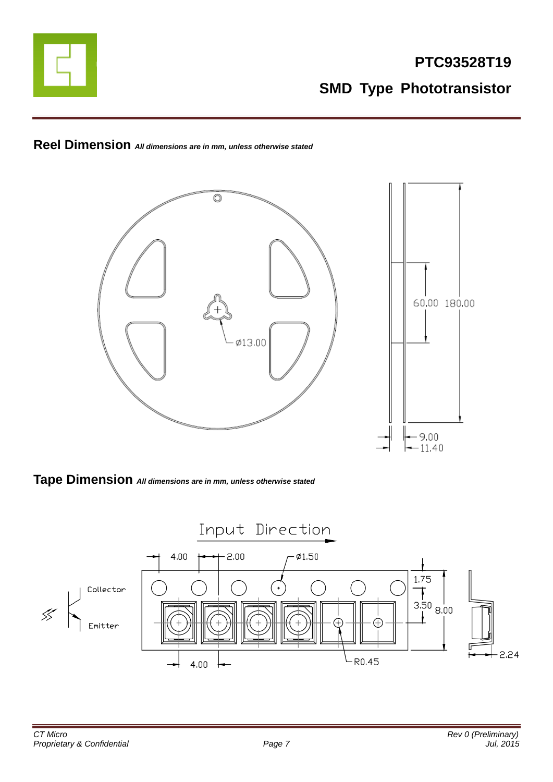

**Reel Dimension** *All dimensions are in mm, unless otherwise stated*



**Tape Dimension** *All dimensions are in mm, unless otherwise stated*

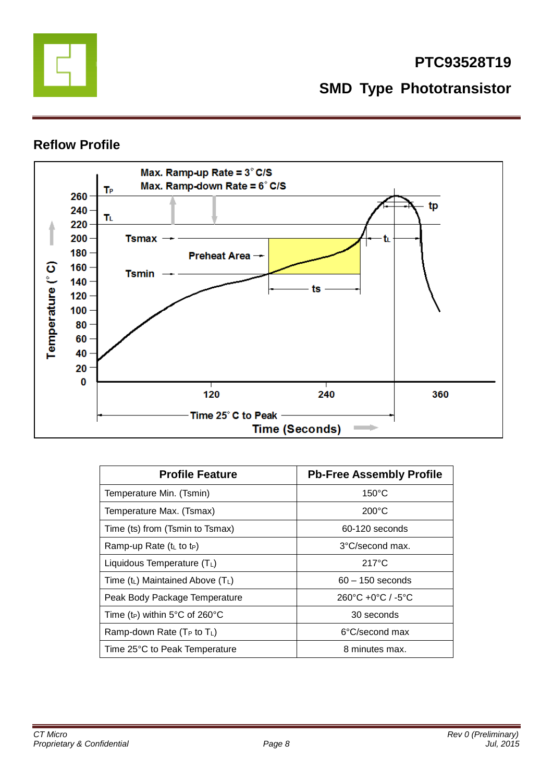

### **Reflow Profile**



| <b>Profile Feature</b>                     | <b>Pb-Free Assembly Profile</b>                   |
|--------------------------------------------|---------------------------------------------------|
| Temperature Min. (Tsmin)                   | $150^{\circ}$ C                                   |
| Temperature Max. (Tsmax)                   | $200^{\circ}$ C                                   |
| Time (ts) from (Tsmin to Tsmax)            | 60-120 seconds                                    |
| Ramp-up Rate (t∟ to t <sub>P</sub> )       | 3°C/second max.                                   |
| Liquidous Temperature $(T_L)$              | $217^{\circ}$ C                                   |
| Time $(t_L)$ Maintained Above $(T_L)$      | $60 - 150$ seconds                                |
| Peak Body Package Temperature              | $260^{\circ}$ C +0 $^{\circ}$ C / -5 $^{\circ}$ C |
| Time (t <sub>P</sub> ) within 5°C of 260°C | 30 seconds                                        |
| Ramp-down Rate $(T_P$ to $T_L$ )           | 6°C/second max                                    |
| Time 25°C to Peak Temperature              | 8 minutes max.                                    |